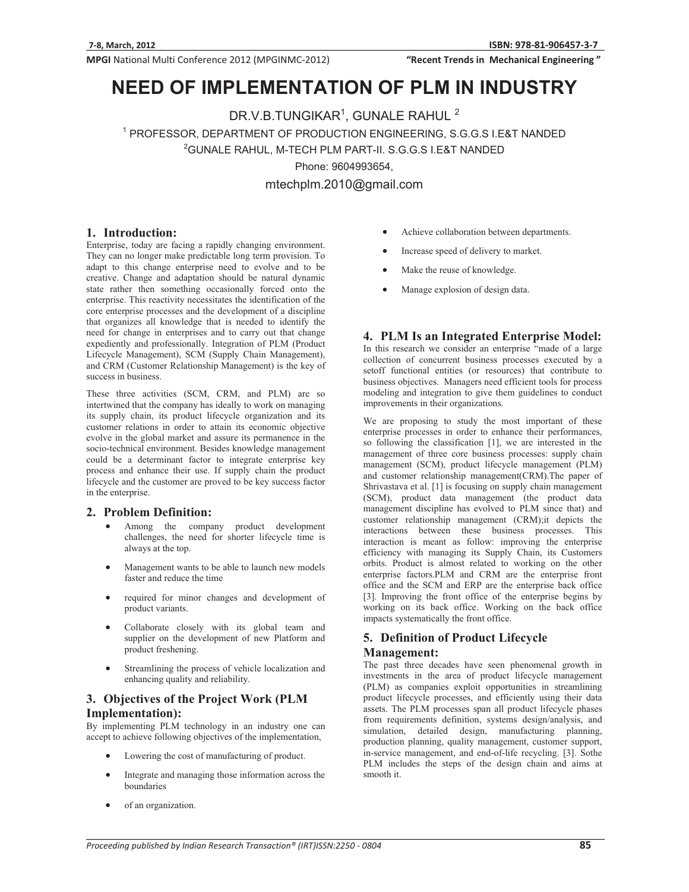"Recent Trends in Mechanical Engineering"

# **NEED OF IMPLEMENTATION OF PLM IN INDUSTRY**

− DR.V.B.TUNGIKAR1, GUNALE RAHUL<br>19 PROFESSOR, DEPARTMENT OF PRODUCTION ENGINEERING, S.

PROFESSOR, DEPARTMENT OF PRODUCTION ENGINEERING, SCORE II. A NEW EXP.<br><sup>2</sup>GUNALE RAHUL, M-TECH PLM PART-II. S.G.G.S I.E&T NANDED

Phone: 9604993654,<br>mtechplm.2010@gmail.com mtechplm.2010@gmail.com

## **1. Introduction:**

Enterprise, today are facing a rapidly changing environment. They can no longer make predictable long term provision. To adapt to this change enterprise need to evolve and to be creative. Change and adaptation should be natural dynamic state rather then something occasionally forced onto the enterprise. This reactivity necessitates the identification of the core enterprise processes and the development of a discipline that organizes all knowledge that is needed to identify the need for change in enterprises and to carry out that change expediently and professionally. Integration of PLM (Product Lifecycle Management), SCM (Supply Chain Management), and CRM (Customer Relationship Management) is the key of success in business.

These three activities (SCM, CRM, and PLM) are so intertwined that the company has ideally to work on managing its supply chain, its product lifecycle organization and its customer relations in order to attain its economic objective evolve in the global market and assure its permanence in the socio-technical environment. Besides knowledge management could be a determinant factor to integrate enterprise key process and enhance their use. If supply chain the product lifecycle and the customer are proved to be key success factor in the enterprise.

# **2. Problem Definition:**

- - Among the company product development challenges, the need for shorter lifecycle time is always at the top.
- - Management wants to be able to launch new models faster and reduce the time
- required for minor changes and development of product variants.
- - Collaborate closely with its global team and supplier on the development of new Platform and product freshening.
- - Streamlining the process of vehicle localization and enhancing quality and reliability.

# **3. Objectives of the Project Work (PLM Implementation):**

By implementing PLM technology in an industry one can accept to achieve following objectives of the implementation,

- $\bullet$ Lowering the cost of manufacturing of product.
- - Integrate and managing those information across the boundaries
- $\bullet$ of an organization.
- -Achieve collaboration between departments.
- -Increase speed of delivery to market.
- -Make the reuse of knowledge.
- -Manage explosion of design data.

#### **4. PLM Is an Integrated Enterprise Model:**

In this research we consider an enterprise "made of a large collection of concurrent business processes executed by a setoff functional entities (or resources) that contribute to business objectives. Managers need efficient tools for process modeling and integration to give them guidelines to conduct improvements in their organizations.

We are proposing to study the most important of these enterprise processes in order to enhance their performances, so following the classification [1], we are interested in the management of three core business processes: supply chain management (SCM), product lifecycle management (PLM) and customer relationship management(CRM).The paper of Shrivastava et al. [1] is focusing on supply chain management (SCM), product data management (the product data management discipline has evolved to PLM since that) and customer relationship management (CRM);it depicts the interactions between these business processes. This interaction is meant as follow: improving the enterprise efficiency with managing its Supply Chain, its Customers orbits. Product is almost related to working on the other enterprise factors.PLM and CRM are the enterprise front office and the SCM and ERP are the enterprise back office [3]. Improving the front office of the enterprise begins by working on its back office. Working on the back office impacts systematically the front office.

## **5. Definition of Product Lifecycle Management:**

The past three decades have seen phenomenal growth in investments in the area of product lifecycle management (PLM) as companies exploit opportunities in streamlining product lifecycle processes, and efficiently using their data assets. The PLM processes span all product lifecycle phases from requirements definition, systems design/analysis, and simulation, detailed design, manufacturing planning, production planning, quality management, customer support, in-service management, and end-of-life recycling. [3]. Sothe PLM includes the steps of the design chain and aims at smooth it.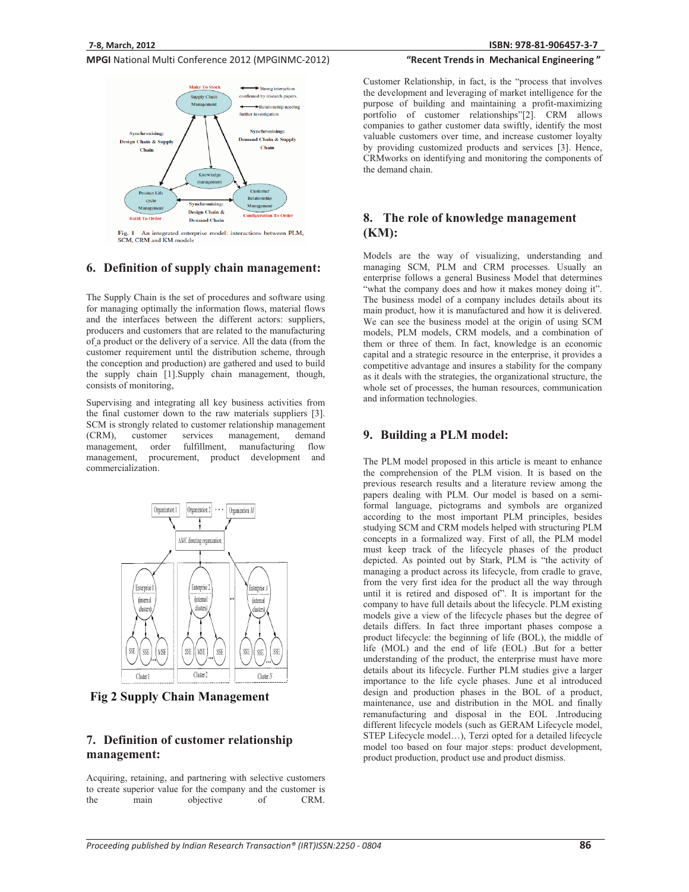

Fig. 1 An integrated enterprise model: interactions between PLM. SCM, CRM and KM models

#### **6. Definition of supply chain management:**

The Supply Chain is the set of procedures and software using for managing optimally the information flows, material flows and the interfaces between the different actors: suppliers, producers and customers that are related to the manufacturing of a product or the delivery of a service. All the data (from the customer requirement until the distribution scheme, through the conception and production) are gathered and used to build the supply chain [1].Supply chain management, though, consists of monitoring,

Supervising and integrating all key business activities from the final customer down to the raw materials suppliers [3]. SCM is strongly related to customer relationship management (CRM), customer services management, demand management, order fulfillment, manufacturing flow management, procurement, product development and commercialization.



**Fig 2 Supply Chain Management** 

## **7. Definition of customer relationship management:**

Acquiring, retaining, and partnering with selective customers to create superior value for the company and the customer is the main objective of CRM. **81-906457-3-7**

## "Recent Trends in Mechanical Engineering"

Customer Relationship, in fact, is the "process that involves the development and leveraging of market intelligence for the purpose of building and maintaining a profit-maximizing portfolio of customer relationships"[2]. CRM allows companies to gather customer data swiftly, identify the most valuable customers over time, and increase customer loyalty by providing customized products and services [3]. Hence, CRMworks on identifying and monitoring the components of the demand chain.

## **8. The role of knowledge management (KM):**

Models are the way of visualizing, understanding and managing SCM, PLM and CRM processes. Usually an enterprise follows a general Business Model that determines "what the company does and how it makes money doing it". The business model of a company includes details about its main product, how it is manufactured and how it is delivered. We can see the business model at the origin of using SCM models, PLM models, CRM models, and a combination of them or three of them. In fact, knowledge is an economic capital and a strategic resource in the enterprise, it provides a competitive advantage and insures a stability for the company as it deals with the strategies, the organizational structure, the whole set of processes, the human resources, communication and information technologies.

#### **9. Building a PLM model:**

The PLM model proposed in this article is meant to enhance the comprehension of the PLM vision. It is based on the previous research results and a literature review among the papers dealing with PLM. Our model is based on a semiformal language, pictograms and symbols are organized according to the most important PLM principles, besides studying SCM and CRM models helped with structuring PLM concepts in a formalized way. First of all, the PLM model must keep track of the lifecycle phases of the product depicted. As pointed out by Stark, PLM is "the activity of managing a product across its lifecycle, from cradle to grave, from the very first idea for the product all the way through until it is retired and disposed of". It is important for the company to have full details about the lifecycle. PLM existing models give a view of the lifecycle phases but the degree of details differs. In fact three important phases compose a product lifecycle: the beginning of life (BOL), the middle of life (MOL) and the end of life (EOL) .But for a better understanding of the product, the enterprise must have more details about its lifecycle. Further PLM studies give a larger importance to the life cycle phases. June et al introduced design and production phases in the BOL of a product, maintenance, use and distribution in the MOL and finally remanufacturing and disposal in the EOL .Introducing different lifecycle models (such as GERAM Lifecycle model, STEP Lifecycle model…), Terzi opted for a detailed lifecycle model too based on four major steps: product development, product production, product use and product dismiss.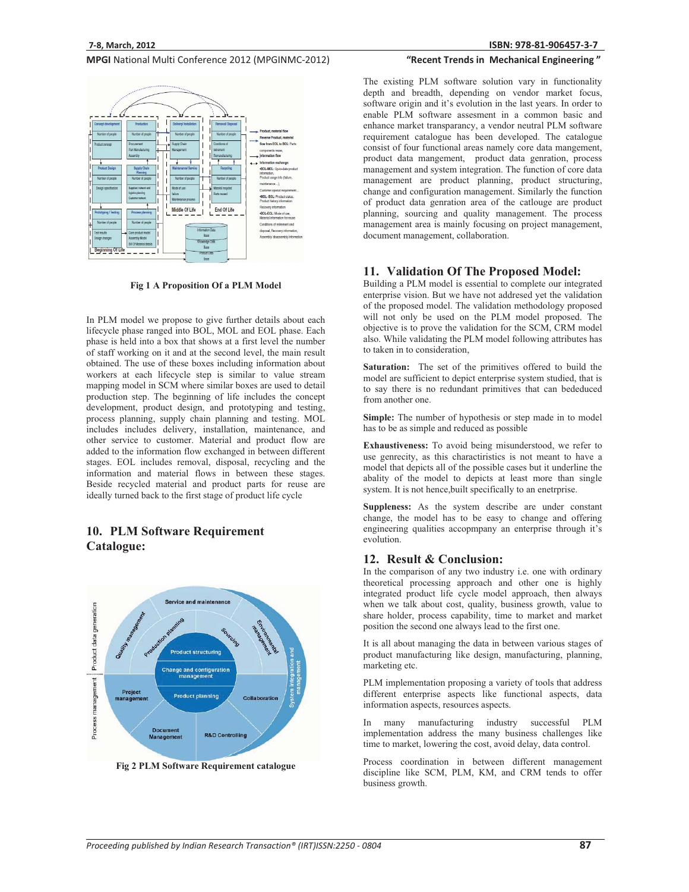

**Fig 1 A Proposition Of a PLM Model** 

In PLM model we propose to give further details about each lifecycle phase ranged into BOL, MOL and EOL phase. Each phase is held into a box that shows at a first level the number of staff working on it and at the second level, the main result obtained. The use of these boxes including information about workers at each lifecycle step is similar to value stream mapping model in SCM where similar boxes are used to detail production step. The beginning of life includes the concept development, product design, and prototyping and testing, process planning, supply chain planning and testing. MOL includes includes delivery, installation, maintenance, and other service to customer. Material and product flow are added to the information flow exchanged in between different stages. EOL includes removal, disposal, recycling and the information and material flows in between these stages. Beside recycled material and product parts for reuse are ideally turned back to the first stage of product life cycle

# **10. PLM Software Requirement Catalogue:**



**Fig 2 PLM Software Requirement catalogue** 

## "Recent Trends in Mechanical Engineering"

The existing PLM software solution vary in functionality depth and breadth, depending on vendor market focus, software origin and it's evolution in the last years. In order to enable PLM software assesment in a common basic and enhance market transparancy, a vendor neutral PLM software requirement catalogue has been developed. The catalogue consist of four functional areas namely core data mangement, product data mangement, product data genration, process management and system integration. The function of core data management are product planning, product structuring, change and configuration management. Similarly the function of product data genration area of the catlouge are product planning, sourcing and quality management. The process management area is mainly focusing on project management, document management, collaboration.

#### **11. Validation Of The Proposed Model:**

Building a PLM model is essential to complete our integrated enterprise vision. But we have not addresed yet the validation of the proposed model. The validation methodology proposed will not only be used on the PLM model proposed. The objective is to prove the validation for the SCM, CRM model also. While validating the PLM model following attributes has to taken in to consideration,

**Saturation:** The set of the primitives offered to build the model are sufficient to depict enterprise system studied, that is to say there is no redundant primitives that can bededuced from another one.

**Simple:** The number of hypothesis or step made in to model has to be as simple and reduced as possible

**Exhaustiveness:** To avoid being misunderstood, we refer to use genrecity, as this charactiristics is not meant to have a model that depicts all of the possible cases but it underline the abality of the model to depicts at least more than single system. It is not hence,built specifically to an enetrprise.

**Suppleness:** As the system describe are under constant change, the model has to be easy to change and offering engineering qualities accopmpany an enterprise through it's evolution.

#### **12. Result & Conclusion:**

In the comparison of any two industry i.e. one with ordinary theoretical processing approach and other one is highly integrated product life cycle model approach, then always when we talk about cost, quality, business growth, value to share holder, process capability, time to market and market position the second one always lead to the first one.

It is all about managing the data in between various stages of product manufacturing like design, manufacturing, planning, marketing etc.

PLM implementation proposing a variety of tools that address different enterprise aspects like functional aspects, data information aspects, resources aspects.

In many manufacturing industry successful PLM implementation address the many business challenges like time to market, lowering the cost, avoid delay, data control.

Process coordination in between different management discipline like SCM, PLM, KM, and CRM tends to offer business growth.